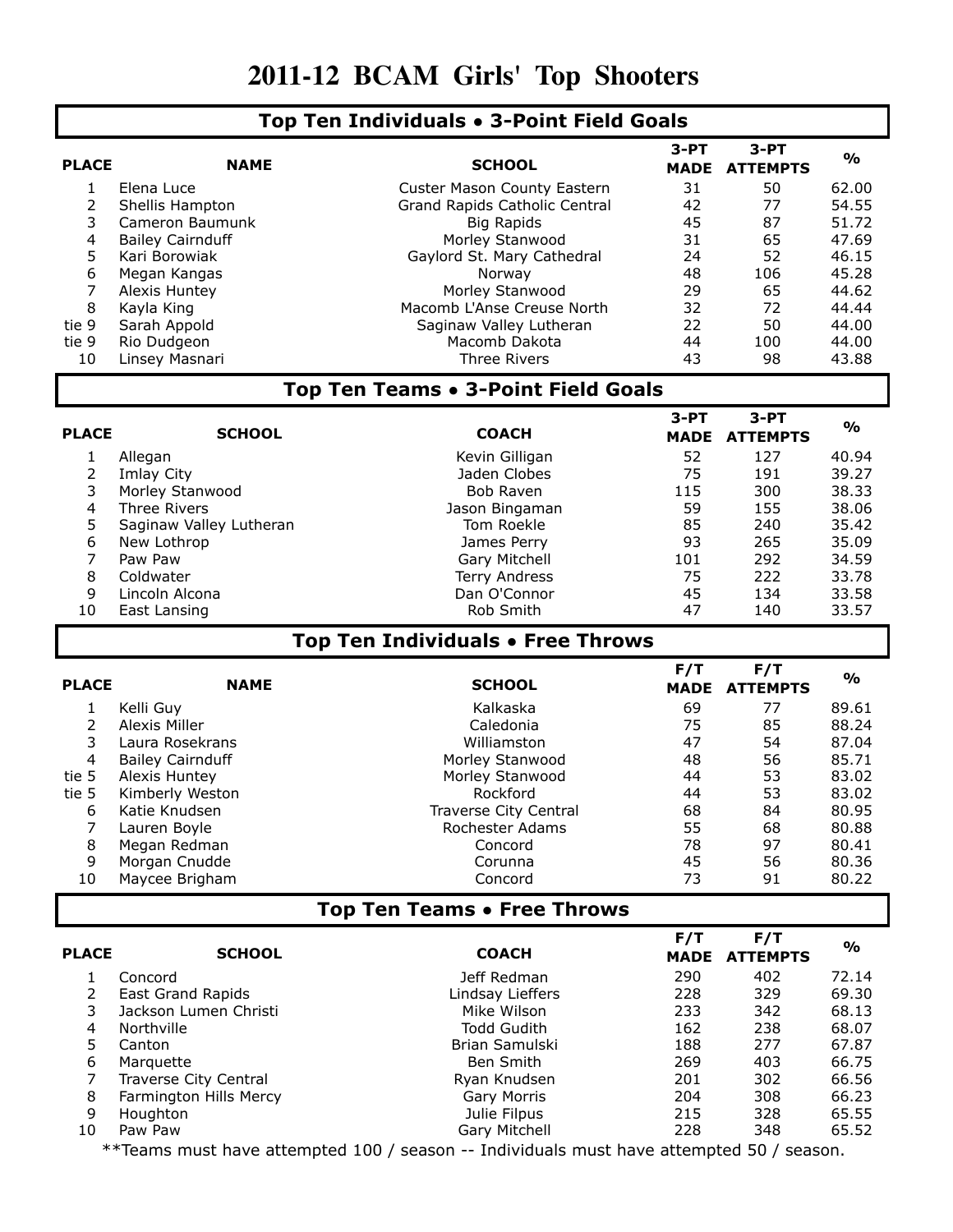## **2011-12 BCAM Girls' Top Shooters**

## **Top Ten Individuals • 3-Point Field Goals**

| <b>PLACE</b>                        | <b>NAME</b>              | <b>SCHOOL</b>                                                                                             | $3-PT$      | $3-PT$          | $\mathbf{O}/\mathbf{o}$ |
|-------------------------------------|--------------------------|-----------------------------------------------------------------------------------------------------------|-------------|-----------------|-------------------------|
|                                     |                          |                                                                                                           | <b>MADE</b> | <b>ATTEMPTS</b> |                         |
| $\mathbf{1}$                        | Elena Luce               | Custer Mason County Eastern                                                                               | 31          | 50              | 62.00                   |
| $\overline{2}$                      | Shellis Hampton          | Grand Rapids Catholic Central                                                                             | 42          | 77              | 54.55                   |
| 3                                   | Cameron Baumunk          | <b>Big Rapids</b>                                                                                         | 45          | 87              | 51.72                   |
| 4                                   | <b>Bailey Cairnduff</b>  | Morley Stanwood                                                                                           | 31          | 65              | 47.69                   |
| 5                                   | Kari Borowiak            | Gaylord St. Mary Cathedral                                                                                | 24          | 52              | 46.15                   |
| 6                                   | Megan Kangas             | Norway                                                                                                    | 48          | 106             | 45.28                   |
| 7                                   | Alexis Huntey            | Morley Stanwood                                                                                           | 29          | 65              | 44.62                   |
| 8                                   | Kayla King               | Macomb L'Anse Creuse North                                                                                | 32          | 72              | 44.44                   |
| tie 9                               | Sarah Appold             | Saginaw Valley Lutheran                                                                                   | 22          | 50              | 44.00                   |
| tie 9                               | Rio Dudgeon              | Macomb Dakota                                                                                             | 44          | 100             | 44.00                   |
| 10                                  | Linsey Masnari           | <b>Three Rivers</b>                                                                                       | 43          | 98              | 43.88                   |
| Top Ten Teams • 3-Point Field Goals |                          |                                                                                                           |             |                 |                         |
|                                     |                          |                                                                                                           | $3-PT$      | $3-PT$          |                         |
| <b>PLACE</b>                        | <b>SCHOOL</b>            | <b>COACH</b>                                                                                              | <b>MADE</b> | <b>ATTEMPTS</b> | $\frac{1}{2}$           |
| 1                                   | Allegan                  | Kevin Gilligan                                                                                            | 52          | 127             | 40.94                   |
| $\overline{2}$                      | Imlay City               | Jaden Clobes                                                                                              | 75          | 191             | 39.27                   |
| 3                                   | Morley Stanwood          | Bob Raven                                                                                                 | 115         | 300             | 38.33                   |
| 4                                   | Three Rivers             | Jason Bingaman                                                                                            | 59          | 155             | 38.06                   |
| 5                                   | Saginaw Valley Lutheran  | Tom Roekle                                                                                                | 85          | 240             | 35.42                   |
| 6                                   | New Lothrop              | James Perry                                                                                               | 93          | 265             | 35.09                   |
| $\overline{7}$                      | Paw Paw                  | Gary Mitchell                                                                                             | 101         | 292             | 34.59                   |
| 8                                   | Coldwater                | Terry Andress                                                                                             | 75          | 222             | 33.78                   |
| 9                                   | Lincoln Alcona           | Dan O'Connor                                                                                              | 45          | 134             | 33.58                   |
| 10                                  | East Lansing             | Rob Smith                                                                                                 | 47          | 140             | 33.57                   |
|                                     |                          |                                                                                                           |             |                 |                         |
| Top Ten Individuals • Free Throws   |                          |                                                                                                           |             |                 |                         |
|                                     |                          |                                                                                                           |             |                 |                         |
|                                     |                          |                                                                                                           | F/T         | F/T             |                         |
| <b>PLACE</b>                        | <b>NAME</b>              | <b>SCHOOL</b>                                                                                             | <b>MADE</b> | <b>ATTEMPTS</b> | $\frac{1}{2}$           |
| $\mathbf{1}$                        | Kelli Guy                | Kalkaska                                                                                                  | 69          | 77              | 89.61                   |
| $\overline{2}$                      | Alexis Miller            | Caledonia                                                                                                 | 75          | 85              | 88.24                   |
| 3                                   | Laura Rosekrans          | Williamston                                                                                               | 47          | 54              | 87.04                   |
| 4                                   | <b>Bailey Cairnduff</b>  | Morley Stanwood                                                                                           | 48          | 56              | 85.71                   |
| tie 5                               | Alexis Huntey            | Morley Stanwood                                                                                           | 44          | 53              | 83.02                   |
| tie 5                               | Kimberly Weston          | Rockford                                                                                                  | 44          | 53              | 83.02                   |
| 6                                   | Katie Knudsen            | Traverse City Central                                                                                     | 68          | 84              | 80.95                   |
| 7                                   | Lauren Boyle             | Rochester Adams                                                                                           | 55          | 68              | 80.88                   |
| 8                                   | Megan Redman             | Concord                                                                                                   | 78          | 97              | 80.41                   |
| 9                                   | Morgan Cnudde            | Corunna                                                                                                   | 45          | 56              | 80.36                   |
| 10                                  | Maycee Brigham           | Concord                                                                                                   | 73          | 91              | 80.22                   |
|                                     |                          | Top Ten Teams • Free Throws                                                                               |             |                 |                         |
|                                     |                          |                                                                                                           |             |                 |                         |
| <b>PLACE</b>                        | <b>SCHOOL</b>            | <b>COACH</b>                                                                                              | F/T         | F/T             | $\frac{1}{2}$           |
|                                     |                          |                                                                                                           | <b>MADE</b> | <b>ATTEMPTS</b> |                         |
| 1                                   | Concord                  | Jeff Redman                                                                                               | 290         | 402             | 72.14                   |
| 2                                   | <b>East Grand Rapids</b> | Lindsay Lieffers                                                                                          | 228         | 329             | 69.30                   |
| 3                                   | Jackson Lumen Christi    | Mike Wilson                                                                                               | 233         | 342             | 68.13                   |
| 4                                   | Northville               | <b>Todd Gudith</b>                                                                                        | 162         | 238             | 68.07                   |
| 5                                   | Canton                   | Brian Samulski                                                                                            | 188         | 277             | 67.87                   |
| 6                                   | Marquette                | Ben Smith                                                                                                 | 269         | 403             | 66.75                   |
| 7                                   | Traverse City Central    | Ryan Knudsen                                                                                              | 201         | 302             | 66.56                   |
| 8                                   | Farmington Hills Mercy   | Gary Morris                                                                                               | 204         | 308             | 66.23                   |
| 9                                   | Houghton                 | Julie Filpus                                                                                              | 215         | 328             | 65.55                   |
| 10                                  | Paw Paw                  | Gary Mitchell<br>**Teams must have attempted 100 / season -- Individuals must have attempted 50 / season. | 228         | 348             | 65.52                   |